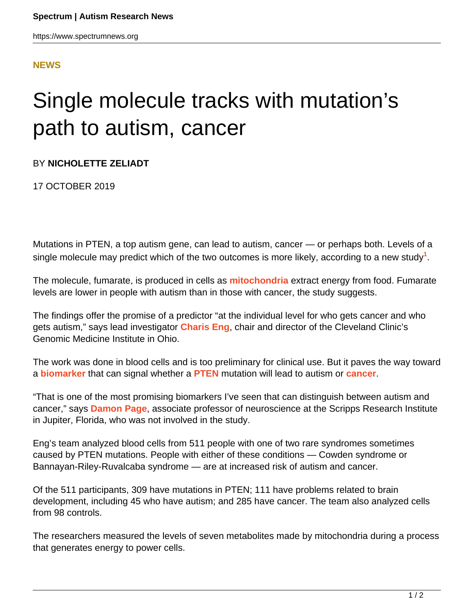### **[NEWS](HTTPS://WWW.SPECTRUMNEWS.ORG/NEWS/)**

# Single molecule tracks with mutation's path to autism, cancer

### BY **NICHOLETTE ZELIADT**

17 OCTOBER 2019

Mutations in PTEN, a top autism gene, can lead to autism, cancer — or perhaps both. Levels of a single molecule may predict which of the two outcomes is more likely, according to a new study**<sup>1</sup>** .

The molecule, fumarate, is produced in cells as **[mitochondria](https://www.spectrumnews.org/wiki/mitochondria/)** extract energy from food. Fumarate levels are lower in people with autism than in those with cancer, the study suggests.

The findings offer the promise of a predictor "at the individual level for who gets cancer and who gets autism," says lead investigator **[Charis Eng](https://www.lerner.ccf.org/gmi/eng/)**, chair and director of the Cleveland Clinic's Genomic Medicine Institute in Ohio.

The work was done in blood cells and is too preliminary for clinical use. But it paves the way toward a **[biomarker](https://www.spectrumnews.org/wiki/biomarkers/)** that can signal whether a **[PTEN](https://www.spectrumnews.org/news/scientists-catalog-effects-of-pten-mutations-in-autism/)** mutation will lead to autism or **[cancer](https://www.spectrumnews.org/features/deep-dive/the-curious-connection-between-autism-and-cancer/)**.

"That is one of the most promising biomarkers I've seen that can distinguish between autism and cancer," says **[Damon Page](https://www.scripps.edu/page/)**, associate professor of neuroscience at the Scripps Research Institute in Jupiter, Florida, who was not involved in the study.

Eng's team analyzed blood cells from 511 people with one of two rare syndromes sometimes caused by PTEN mutations. People with either of these conditions — Cowden syndrome or Bannayan-Riley-Ruvalcaba syndrome — are at increased risk of autism and cancer.

Of the 511 participants, 309 have mutations in PTEN; 111 have problems related to brain development, including 45 who have autism; and 285 have cancer. The team also analyzed cells from 98 controls.

The researchers measured the levels of seven metabolites made by mitochondria during a process that generates energy to power cells.